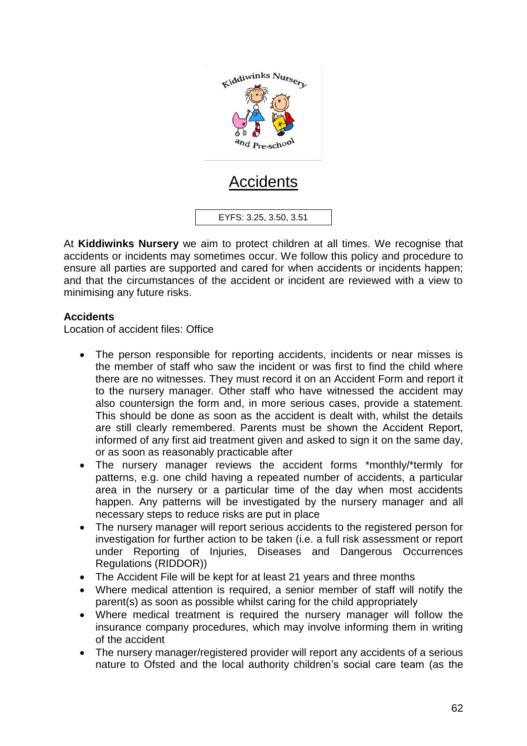

# Accidents

EYFS: 3.25, 3.50, 3.51

At **Kiddiwinks Nursery** we aim to protect children at all times. We recognise that accidents or incidents may sometimes occur. We follow this policy and procedure to ensure all parties are supported and cared for when accidents or incidents happen; and that the circumstances of the accident or incident are reviewed with a view to minimising any future risks.

## **Accidents**

Location of accident files: Office

- The person responsible for reporting accidents, incidents or near misses is the member of staff who saw the incident or was first to find the child where there are no witnesses. They must record it on an Accident Form and report it to the nursery manager. Other staff who have witnessed the accident may also countersign the form and, in more serious cases, provide a statement. This should be done as soon as the accident is dealt with, whilst the details are still clearly remembered. Parents must be shown the Accident Report, informed of any first aid treatment given and asked to sign it on the same day, or as soon as reasonably practicable after
- The nursery manager reviews the accident forms \*monthly/\*termly for patterns, e.g. one child having a repeated number of accidents, a particular area in the nursery or a particular time of the day when most accidents happen. Any patterns will be investigated by the nursery manager and all necessary steps to reduce risks are put in place
- The nursery manager will report serious accidents to the registered person for investigation for further action to be taken (i.e. a full risk assessment or report under Reporting of Injuries, Diseases and Dangerous Occurrences Regulations (RIDDOR))
- The Accident File will be kept for at least 21 years and three months
- Where medical attention is required, a senior member of staff will notify the parent(s) as soon as possible whilst caring for the child appropriately
- Where medical treatment is required the nursery manager will follow the insurance company procedures, which may involve informing them in writing of the accident
- The nursery manager/registered provider will report any accidents of a serious nature to Ofsted and the local authority children's social care team (as the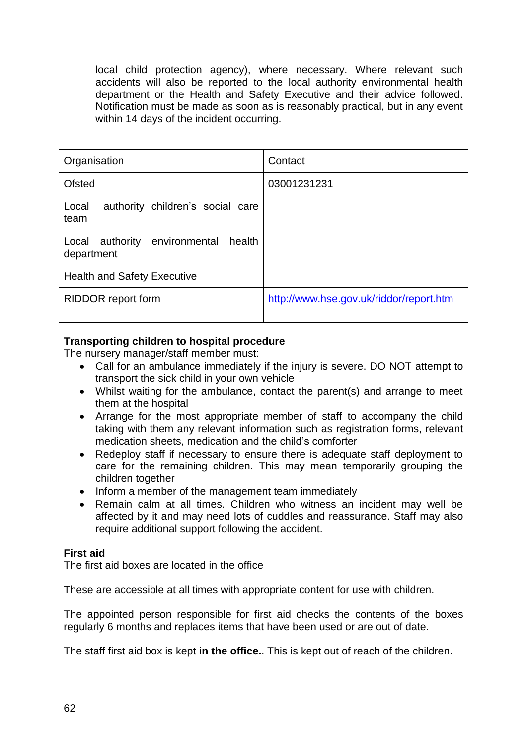local child protection agency), where necessary. Where relevant such accidents will also be reported to the local authority environmental health department or the Health and Safety Executive and their advice followed. Notification must be made as soon as is reasonably practical, but in any event within 14 days of the incident occurring.

| Organisation                                          | Contact                                 |
|-------------------------------------------------------|-----------------------------------------|
| <b>Ofsted</b>                                         | 03001231231                             |
| authority children's social care<br>Local<br>team     |                                         |
| Local authority environmental<br>health<br>department |                                         |
| <b>Health and Safety Executive</b>                    |                                         |
| RIDDOR report form                                    | http://www.hse.gov.uk/riddor/report.htm |

## **Transporting children to hospital procedure**

The nursery manager/staff member must:

- Call for an ambulance immediately if the injury is severe. DO NOT attempt to transport the sick child in your own vehicle
- Whilst waiting for the ambulance, contact the parent(s) and arrange to meet them at the hospital
- Arrange for the most appropriate member of staff to accompany the child taking with them any relevant information such as registration forms, relevant medication sheets, medication and the child's comforter
- Redeploy staff if necessary to ensure there is adequate staff deployment to care for the remaining children. This may mean temporarily grouping the children together
- Inform a member of the management team immediately
- Remain calm at all times. Children who witness an incident may well be affected by it and may need lots of cuddles and reassurance. Staff may also require additional support following the accident.

#### **First aid**

The first aid boxes are located in the office

These are accessible at all times with appropriate content for use with children.

The appointed person responsible for first aid checks the contents of the boxes regularly 6 months and replaces items that have been used or are out of date.

The staff first aid box is kept **in the office.**. This is kept out of reach of the children.